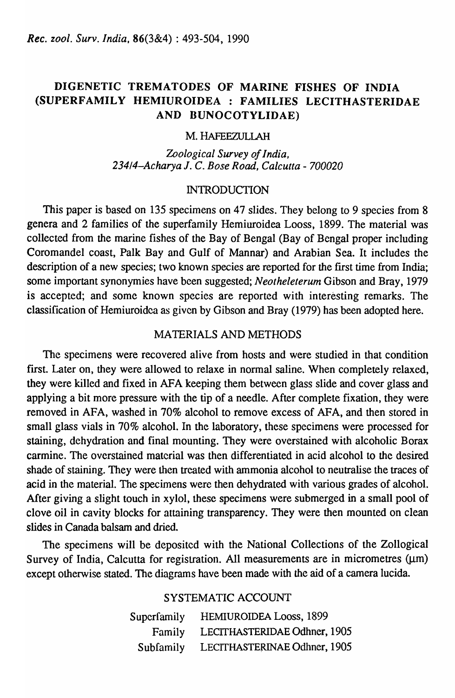# DIGENETIC TREMATODES OF MARINE FISHES OF INDIA (SUPERFAMILY HEMIUROIDEA : FAMILIES LECITHASTERIDAE AND BUNOCOTYLIDAE)

### M. HAFEEZULlAH

*Zoological Survey of India, 23414-Acharya* J. C. *Bose Road, Calcutta* - *700020* 

### **INTRODUCTION**

This paper is based on 135 specimens on 47 slides. They belong to 9 species from 8 genera and 2 families of the superfamily Hemiuroidea Looss, 1899. The material was collected from the marine fishes of the Bay of Bengal (Bay of Bengal proper including Coromandel coast, Palk Bay and Gulf of Mannar) and Arabian Sea. It includes the description of a new species; two known species are reported for the first time from India; some important synonymies have been suggested; *Neotheleterum* Gibson and Bray, 1979 is accepted; and some known species are reported with interesting remarks. The classification of Hemiuroidca as given by Gibson and Bray (1979) has been adopted here.

### MA TERIALS AND METHODS

The specimens were recovered alive from hosts and were studied in that condition first. Later on, they were allowed to relaxe in normal saline. When completely relaxed, they were killed and fixed in AFA keeping them between glass slide and cover glass and applying a bit more pressure with the tip of a needle. After complete fixation, they were removed in AFA, washed in 70% alcohol to remove excess of AFA, and then stored in small glass vials in 70% alcohol. In the laboratory, these specimens were processed for staining, dehydration and final mounting. They were overstained with alcoholic Borax carmine. The overstained matcrial was then differentiated in acid alcohol to the desired shade of staining. They were then treated with ammonia alcohol to neutralise the traces of acid in the material. The specimens were then dehydrated with various grades of alcohol. After giving a slight touch in xylol, these specimens were submerged in a small pool of clove oil in cavity blocks for attaining transparency. They were then mounted on clean slides in Canada balsam and dried.

The specimens will be depositcd with the National Collections of the Zollogical Survey of India, Calcutta for registration. All measurements are in micrometres  $(\mu m)$ except otherwise stated. The diagrams have been made with the aid of a camera lucida.

## SYSTEMATIC ACCOUNT

| Superfamily | HEMIUROIDEA Looss, 1899      |
|-------------|------------------------------|
| Family      | LECITHASTERIDAE Odhner, 1905 |
| Subfamily   | LECITHASTERINAE Odhner, 1905 |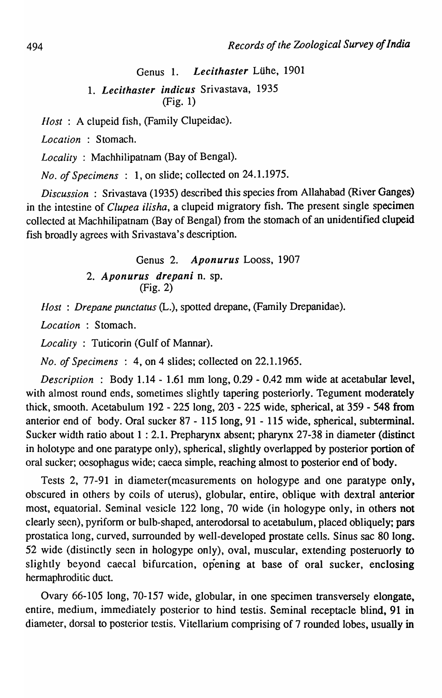Genus 1. *Lecithaster* Luhe, 1901

*1. Lecithaster indicus* Srivastava, 1935 (Fig. 1)

*Host* : A clupeid fish, (Family Clupeidac).

*Location* : Stomach.

*Locality* : Machhilipatnam (Bay of Bengal).

*No. of Specimens* : 1, on slide; collected on 24.1.1975.

*Discussion:* Srivastava (1935) described this species from Allahabad (River Ganges) in the intestine of *Clupea ilisha,* a clupeid migratory fish. The present single specimen collected at Machhilipatnam (Bay of Bengal) from the stomach of an unidentified clupeid fish broadly agrees with Srivastava's description.

> Genus 2. *Aponurus* Looss, 1907 *2. Aponurus drepani* n. sp. (Fig. 2)

*Host: Drepane punctatus* (L.), spotted drepane, (Family Drepanidae).

*Location* : Stomach.

*Locality* : Tuticorin (Gulf of Mannar).

*No. of Specimens* : 4, on 4 slides; collected on 22.1.1965.

*Description* : Body 1.14 - 1.61 mm long, 0.29 - 0.42 mm wide at acetabular level, with almost round ends, sometimes slightly tapering posteriorly. Tegument moderately thick, smooth. Acetabulum 192 - 225 long, 203 - 225 wide, spherical, at 359 - 548 from anterior end of body. Oral sucker 87 - 1 IS long, 91 - 115 wide, spherical, subterminal. Sucker width ratio about 1 : 2.1. Prepharynx absent; pharynx 27-38 in diameter (distinct in holotype and one paratype only), spherical, slightly overlapped by posterior portion of oral sucker; oesophagus wide; caeca simple, reaching almost to posterior end of body.

Tests 2, 77-91 in diameter(mcasurements on hologype and one paratype only, obscured in others by coils of uterus), globular, entire, oblique with dextral anterior most, equatorial. Seminal vesicle 122 long, 70 wide (in hologype only, in others not clearly seen), pyriform or bulb-shaped, anterodorsal to acetabulum, placed obliquely; pars prostatica long, curved, surrounded by well-developed prostate cells. Sinus sac 80 long. 52 wide (distinctly seen in hologype only), oval, muscular, extending posteruorly to slightly beyond caecal bifurcation, opening at base of oral sucker, enclosing hermaphroditic duct.

Ovary 66-105 long, 70-157 wide, globular, in one specimen transversely elongate, entire, medium, immediately posterior to hind testis. Seminal receptacle blind, 91 in diameter, dorsal to posterior testis. Vitellarium comprising of 7 rounded lobes, usually in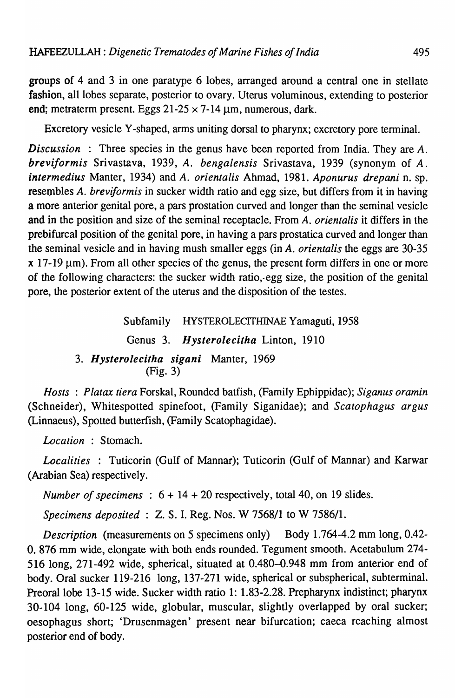groups of 4 and 3 in one paratype 6 lobes, arranged around a central one in stellate fashion, all lobes separate, posterior to ovary. Uterus voluminous, extending to posterior end; metraterm present. Eggs  $21-25 \times 7-14 \mu$ m, numerous, dark.

Excretory vesicle Y -shaped, arms uniting dorsal to pharynx; excretory pore terminal.

*Discussion* : Three species in the genus have been reported from India. They are *A. breviformis* Srivastava, 1939, *A. bengalensis* Srivastava, 1939 (synonym of *A. intermedius* Manter, 1934) and *A. orientalis* Ahmad, 1981. *Aponurus drepani* n. sp. resembles *A. breviformis* in sucker width ratio and egg size, but differs from it in having a more anterior genital pore, a pars prostation curved and longer than the seminal vesicle and in the position and size of the seminal receptacle. From *A. orientalis* it differs in the prebifurcal position of the genital pore, in having a pars prostatica curved and longer than the seminal vesicle and in having mush smaller eggs (in *A. orientalis* the eggs are 30-35  $x$  17-19  $\mu$ m). From all other species of the genus, the present form differs in one or more of the following characters: the sucker width ratio,·egg size, the position of the genital pore, the posterior extent of the uterus and the disposition of the testes.

> Subfamily HYSTEROLECITHINAE Yamaguti, 1958 Genus 3. *Hysterolecitha* Linton, 1910 *3. Hysteroiecitha sigani* Manter, 1969 (Fig. 3)

*Hosts: Platax tiera* Forskal, Rounded batfish, (Family Ephippidae); *Siganus oramin*  (Schneider), Whitespotted spinefoot, (Family Siganidae); and *Scatophagus argus*  (Linnaeus), Spotted butterfish, (Family Scatophagidae).

*Location* : Stomach.

*Localities* : Tuticorin (Gulf of Mannar); Tuticorin (Gulf of Mannar) and Karwar (Arabian Sea) respectively.

*Number of specimens* :  $6 + 14 + 20$  respectively, total 40, on 19 slides.

*Specimens deposited* : Z. S. I. Reg. Nos. W 7568/1 to W 7586/1.

*Description* (measurements on 5 specimens only) Body 1.764-4.2 mm long, 0.42-O. 876 mm wide, elongate with both ends rounded. Tegument smooth. Acetabulum 274- 516 long, 271-492 wide, spherical, situated at 0.480-0.948 mm from anterior end of body. Oral sucker 119-216 long, 137-271 wide, spherical or subspherical, subterminal. Preoral lobe 13-15 wide. Sucker width ratio 1: 1.83-2.28. Prepharynx indistinct; pharynx 30-104 long, 60-125 wide, globular, muscular, slightly overlapped by oral sucker; oesophagus short; 'Drusenmagen' present near bifurcation; caeca reaching almost posterior end of body.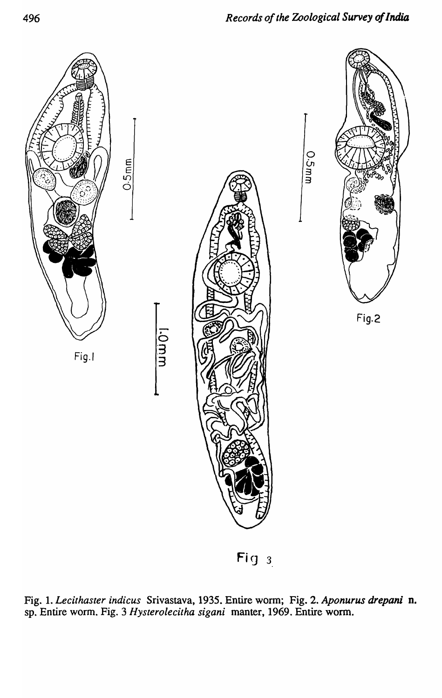

Fig  $3$ 

Fig. 1. *Lecithaster indicus* Srivastava, 1935. Entire worm; Fig. 2. *Aponurus drepani* D. sp. Entire worm. Fig. 3 *Hysterolecitha sigani* manter, 1969. Entire worm.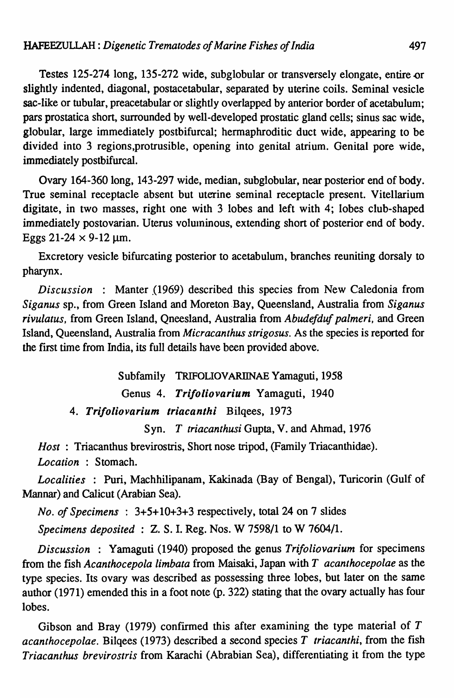Testes 125-274 long, 135-272 wide, subglobular or transversely elongate, entire.or slightly indented, diagonal, postacetabular, separated by uterine coils. Seminal vesicle sac-like or tubular, preacetabular or slightly overlapped by anterior border of acetabulum; pars prostatica short, surrounded by well-developed prostatic gland cells; sinus sac wide, globular, large immediately postbifurcal; hermaphroditic duct wide, appearing to be divided into 3 regions,protrusible, opening into genital atrium. Genital pore wide, immediately postbifurcal.

Ovary 164-360 long, 143-297 wide, median, subglobular, near posterior end of body. True seminal receptacle absent but uterine seminal receptacle present. Vitellarium digitate, in two masses, right one with 3 lobes and left with 4; lobes club-shaped immediately postovarian. Uterus voluninous, extending short of posterior end of body. Eggs  $21-24 \times 9-12$  µm.

Excretory vesicle bifurcating posterior to acetabulum, branches reuniting dorsaly to pharynx.

*Discussion* : Manter (1969) described this species from New Caledonia from *Siganus* sp., from Green Island and Moreton .Bay, Queensland, Australia from *Siganus rivulatus,* from Green Island, Qneesland, Australia from *Abudefduf palmeri,* and Green Island, Queensland, Australia from *Micracanthus strigosus.* As the species is reported for the frrst time from India, its full details have been provided above.

Subfamily TRIFOLIOVARllNAE Yamaguti, 1958

Genus 4. *Trifoliovarium* Yamaguti, 1940

*4. Trifoliovarium triacanthi* Bilqees, 1973

Syn. *T triacanthusi* Gupta, V. and Ahmad, 1976

*Host* : Triacanthus brevirostris, Short nose tripod, (Family Triacanthidae). *Location* : Stomach.

*Localities* : Puri, Machhilipanam, Kakinada (Bay of Bengal), Turicorin (Gulf of Mannar) and Calicut (Arabian Sea).

*No. of Specimens* : 3+5+10+3+3 respectively, tota124 on 7 slides

*Specimens deposited:* Z. S. I. Reg. Nos. W 7598/1 to W 7604/1.

*Discussion* : Yamaguti (1940) proposed the genus *Trifoliovarium* for specimens from the fish *Acanthocepola limbata* from Maisaki, Japan with *T acanthocepolae* as the type species. Its ovary was described as possessing three lobes, but later on the same author (1971) emended this in a foot note (p. 322) stating that the ovary actually has four lobes.

Gibson and Bray (1979) confirmed this after examining the type material of *T acanthocepolae.* Bilqees (1973) described a second species *T triacanthi,* from the fish *Triacanthus brevirostris* from Karachi (Abrabian Sea), differentiating it from the type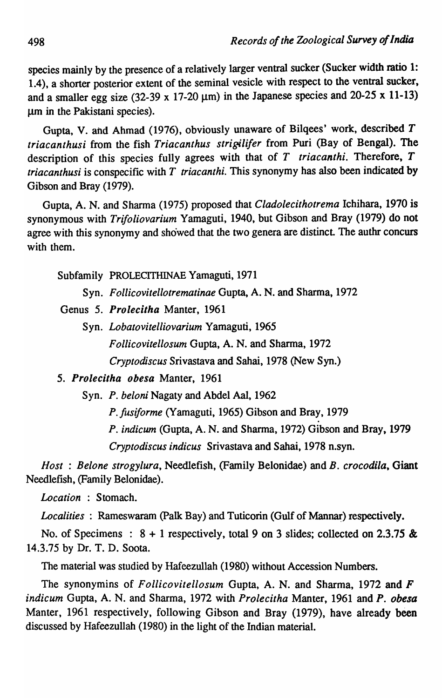species mainly by the presence of a relatively larger ventral sucker (Sucker width mtio 1: 1.4), a shorter posterior extent of the seminal vesicle with respect to the ventral sucker, and a smaller egg size (32-39 x 17-20  $\mu$ m) in the Japanese species and 20-25 x 11-13) um in the Pakistani species).

Gupta, V. and Ahmad (1976), obviously unaware of Bilqees' work, described T *triacanthusi* from the fish *Triacanthus strigilifer* from Pori (Bay of Bengal). The description of this species fully agrees with that of *T triacanthi.* Therefore, *T triacanthusi* is conspecific with *T triacanthi.* This synonymy has also been indicated by Gibson and Bray (1979).

Gupta, A. N. and Sharma (1975) proposed that *Cladolecithotrema* Ichihara, 1970 is synonymous with *Trifoliovarium* Yamaguti, 1940, but Gibson and Bray (1979) do not agree with this synonymy and showed that the two genera are distinct. The authr concurs with them.

Subfamily PROLECITHINAE Yamaguti, 1971

- Syn. *Follicovitellotrematinae* Gupta, A. N. and Sharma, 1972
- Genus 5. *Prolecitha* Manter, 1961
	- Syn. *Lobatovitelliovarium* Yamaguti, 1965 *Follicovitellosum* Gupta, A. N. and Sharma, 1972 *Cryptodiscus* Srivastava and Sahai, 1978 (New Syn.)

## *5. Prolecitha obesa* Manter, 1961

Syn. *P. beloni* Nagaty and Abdel Aal, 1962

*P.fusiforme* (Yamaguti, 1965) Gibson and Bray, 1979

*P. indicum* (Gupta, A. N. and Sharma, 1972) Gibson and Bray, 1979

*Cryptodiscus indicus* Srivastava and Sahai, 1978 n.syn.

*Host: Belone strogylura,* Need1efish, (Family Belonidae) and *B. crocodila,* Giant Needlefish, (Family Belonidae).

*Location* : Stomach.

*Localities* : Rameswaram (Palk Bay) and Tuticorin (Gulf of Mannar) respectively.

No. of Specimens :  $8 + 1$  respectively, total 9 on 3 slides; collected on 2.3.75 & 14.3.75 by Dr. T. D. Soota.

The material was studied by Hafeezullah (1980) without Accession Numbers.

The synonymins of *Follicovitellosum* Gupta, A. N. and Sharma, 1972 and *F indicum* Gupta, A. N. and Sharma, 1972 with *Prolecitha* Manter, 1961 and *P. obesa*  Manter, 1961 respectively, following Gibson and Bray (1979), have already been discussed by Hafeezullah (1980) in the light of the Indian material.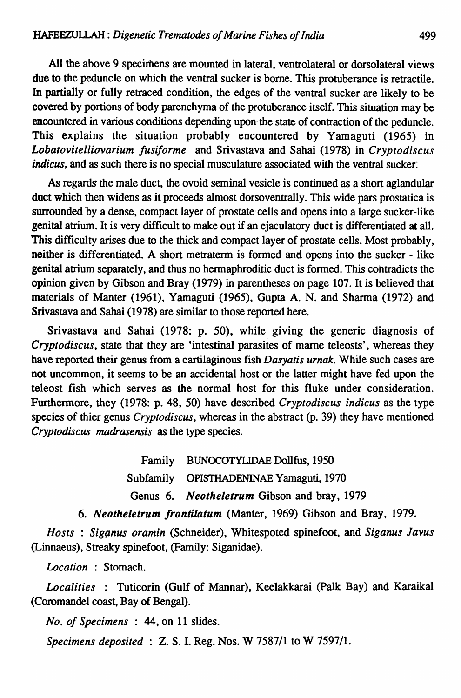All the above 9 specimens are mounted in lateral, ventrolateral or dorsolateral views due to the peduncle on which the ventral sucker is borne. This protuberance is retractile. In partially or fully retraced condition, the edges of the ventral sucker are likely to be covered by portions of body parenchyma of the protuberance itself. This situation may be encountered in various conditions depending upon-the state of contraction of the peduncle. This explains the situation probably encountered by Yamaguti (1965) in *Lobatovitelliovarium fusiforme* and Srivastava and Sahai (1978) in *Cryptodiscus indicus*, and as such there is no special musculature associated with the ventral sucker;

As regards the male duct, the ovoid seminal vesicle is continued as a short aglandular duct which then widens as it proceeds almost dorsoventrally. This wide pars prostatica is surrounded by a dense, compact layer of prostate cells and opens into a large sucker-like genital atrium. It is very difficult to make out if an ejaculatory duct is differentiated at all. This difficulty arises due to the thick and compact layer of prostate cells. Most probably, neither is differentiated. A short metraterm is formed and opens into the sucker - like genital atrium separately, and thus no hennaphroditic duct is formed. This contradicts the opinion given by Gibson and Bray (1979) in parentheses on page 107. It is believed that materials of Manter (1961), Yamaguti (1965), Gupta A. N. and Sharma (1972) and Srivastava and Sahai (1978) are similar to those reported here.

Srivastava and Sahai (1978: p. 50), while. giving the generic diagnosis of *Cryptodiscus,* state that they are 'intestinal parasites of marne teleosts', whereas they have reported their genus from a cartilaginous fish *Dasyatis urnak.* While such cases are not uncommon, it seems to be an accidental host or the latter might have fed upon the teleost fish which serves as the normal host for this fluke under consideration. Furthermore, they (1978: p. 48, 50) have described *Cryptodiscus indicus* as the type species of thier genus *Cryptodiscus,* whereas in the abstract (p. 39) they have mentioned *Cryptodiscus madrasensis* as the type species.

> Family BUNOCOTYLIDAE Dollfus, 1950 Subfamily OPISTHADENINAE Yamaguti, 1970 Genus 6. *Neotheletrum* Gibson and bray, 1979

*6. Neotheletrum /rontilatum* (Manter, 1969) Gibson and Bray, 1979.

*Hosts* : *Siganus oramin* (Schneider), Whitespoted spinefoot, and *Siganus Javus* (Linnaeus), Streaky spinefoot, (Family: Siganidae).

*Location* : Stomach.

*Localities* : Tuticorin (Gulf of Mannar), Keelakkarai (palk Bay) and Karaikal (Coromandel coast, Bay of Bengal).

*No. of Specimens* : 44, on 11 slides.

*Specimens deposited* : Z. S. I. Reg. Nos. W 7587/1 to W 7597/1.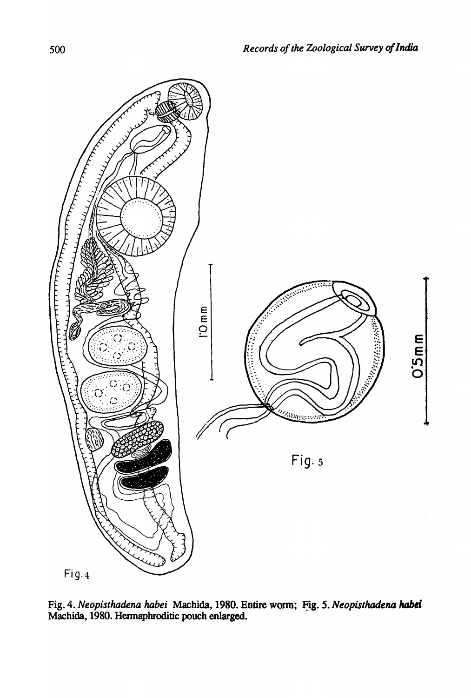

Fig. 4. *Neopisthadena habei* Machida, 1980. Entire worm; Fig. 5. *Neopisthadena habei* Machida, 1980. Hennapbroditic pouch enlarged.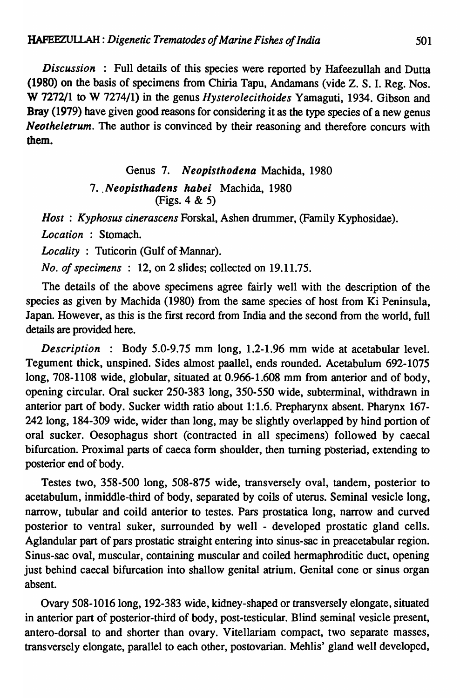*Discussion* : Full details of this species were reported by Hafeezullah and Dutta (1980) on the basis of specimens from Chiria Tapu, Andamans (vide Z. S. I. Reg. Nos. W 7272/1 to W 7274/1) in the genus *Hysterolecithoides* Yamaguti, 1934. Gibson and Bray (1979) have given good reasons for considering it as the type species of a new genus *Neotheletrum.* The author is convinced by their reasoning and therefore concurs with them.

> Genus 7. Neopisthodena Machida, 1980 7. Neopisthadens habei Machida, 1980 (Figs. 4 & 5)

*Host* : *Kyphosus cinerascens* Forskal, Ashen drummer, (Family Kyphosidae).

*Location* : Stomach.

*Locality* : Tuticorin (Gulf of Mannar).

*No. of specimens:* 12, on 2 slides; collected on 19.11.75.

The details of the above specimens agree fairly well with the description of the species as given by Machida (1980) from the same species of host from Ki Peninsula, Japan. However, as this is the first record from India and the second from the world, full details are provided here.

*Description* : Body 5.0-9.75 mm long, 1.2-1.96 mm wide at acetabular level. Tegument thick, unspined. Sides almost paallel, ends rounded. Acetabulum 692-1075 long, 708-1108 wide, globular, situated at 0.966-1.608 mm from anterior and of body, opening circular. Oral sucker 250-383 long, 350-550 wide, subterminal, withdrawn in anterior part of body. Sucker width ratio about 1:1.6. Prepharynx absent. Pharynx 167- 242 long, 184-309 wide, wider than long, may be slightly overlapped by hind portion of oral sucker. Oesophagus short (contracted in all specimens) followed by caecal bifurcation. Proximal parts of caeca form shoulder, then turning posteriad, extending to posterior end of body.

Testes two, 358-500 long, 508-875 wide, transversely oval, tandem, posterior to acetabulum, inmiddle-third of body, separated by coils of uterus. Seminal vesicle long, narrow, tubular and coild anterior to testes. Pars prostatica long, narrow and curved posterior to ventral suker, surrounded by well - developed prostatic gland cells. Aglandular part of pars prostatic straight entering into sinus-sac in preacetabular region. Sinus-sac oval, muscular, containing muscular and coiled hermaphroditic duct, opening just behind caecal bifurcation into shallow genital atrium. Genital cone or sinus organ absent.

Ovary 508-1016 long, 192-383 wide, kidney-shaped or transversely elongate, situated in anterior part of posterior-third of body, post-testicular. Blind seminal vesicle present, antero-dorsal to and shorter than ovary. Vitellariam compact, two separate masses, transversely elongate, parallel to each other, postovarian. Mehlis' gland well developed,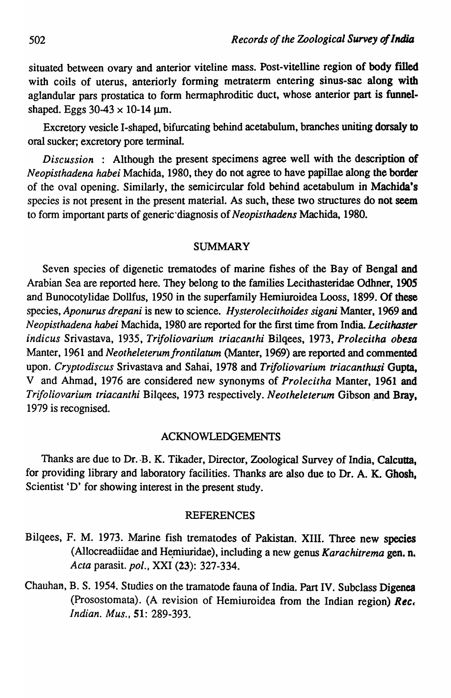situated between ovary and anterior viteline mass. Post-vitelline region of body filled with coils of uterus, anteriorly forming metraterm entering sinus-sac along with aglandular pars prostatica to form hermaphroditic duct, whose anterior part is funnelshaped. Eggs  $30-43 \times 10-14 \,\mu m$ .

Excretory vesicle I-shaped, bifurcating behind acetabulum, branches uniting dorsaly to oral sucker; excretory pore terminal.

*Discussion* : Although the present specimens agree well with the description of *Neopisthadena habei* Machida, 1980, they do not agree to have papillae along the border of the oval opening. Similarly, the semicircular fold behind acetabulum in Machida's species is not present in the present material. As such, these two structures do not seem to form important parts of generic'diagnosis of *Neopisthadens* Machida, 1980.

### SUMMARY

Seven species of digenetic trematodes of marine fishes of the Bay of Bengal and Arabian Sea are reported here. They belong to the families Lecithasteridae Odhner, 1905 and Bunocotylidae Dollfus, 1950 in the superfamily Hemiuroidea Looss, 1899. Of these species, *Aponurus drepani* is new to science. *Hysterolecithoides sigani* Manter, 1969 and *Neopisthadena habei* Machida, 1980 are reported for the first time from India. *Lecithaster indicus* Srivastava, 1935, *Trifoliovarium triacanthi* Bilqees, 1973, *Prolecitha obesa*  Manter, 1961 and *Neotheleterum frontilatum* (Manter, 1969) are reported and commented upon. *Cryptodiscus* Srivastava and Sahai, 1978 and *Trifoliovarium triacanthusi* Gupta, V and Ahmad, 1976 are considered new synonyms of *Prolecitha* Manter, 1961 and *Trifoliovarium triacanthi Bilgees, 1973 respectively. Neotheleterum Gibson and Bray,* 1979 is recognised.

### ACKNOWLEDGEMENTS

Thanks are due to Dr. -B. K. Tikader, Director, Zoological Survey of India, Calcutta, for providing library and laboratory facilities. Thanks are also due to Dr. A. K. Ghosh. Scientist 'D' for showing interest in the present study.

#### REFERENCES

- Bilqees, F. M. 1973. Marine fish trematodes of Pakistan. XIII. Three new species (Allocreadiidae and Hemiuridae), including a new genus *Karachitrema* gen. n. *Acta* parasit. *pol.,* XXI (23): 327-334.
- Chauhan, B. S. 1954. Studies on the tramatode fauna of India. Part IV. Subclass Digenea (Prosostomata). (A revision of Hemiuroidea from the Indian region) *Ree, Indian. Mus.,* 51: 289-393.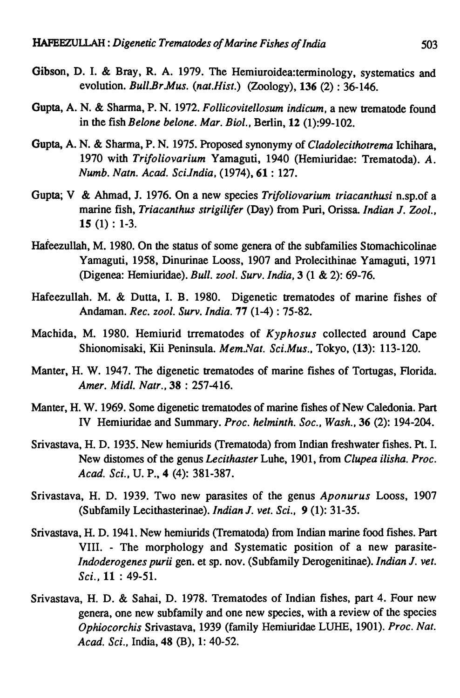- Gibson, D. I. & Bray, R. A. 1979. The Hemiuroidea:terminology, systematics and evolution. *Bull.Br Mus. (nat.Hist.)* (Zoology), 136 (2) : 36-146.
- Gupta, A. N. & Sharma, P. N. 1972. *Follicovitellosum indicum,* a new trematode found in the fish *Belone belone. Mar. Bioi.,* Berlin, 12 (1):99-102.
- Gupta, A. N. & Sharma, P. N. 1975. Proposed synonymy of *Cladolecithotrema* Ichihara, 1970 with *Trifoliovarium* Yamaguti, 1940 (Hemiuridae: Trematoda). *A. Numb. Natn. Acad. SciJndia,* (1974), 61 : 127.
- Gupta; V & Ahmad, J. 1976. On a new species *Trifoliovarium triacanthusi* n.sp.of a marine fish, *Triacanthus strigilifer* (Day) from Puri, Orissa. *Indian* J. *Zool.,*   $15(1): 1-3.$
- Hafeezullah, M. 1980. On the status of some genera of the subfamilies Stomachicolinae Yamaguti, 1958, Dinurinae Looss, 1907 and Prolecithinae Yamaguti, 1971 (Digenea: Hemiuridae). *Bull. zool. Surv. India,* 3 (1 & 2): 69-76.
- Hafeezullah. M. & Dutta, I. B. 1980. Digenetic trematodes of marine fishes of An dam an. *Rec. zool. Surv. India.* 77 (1-4) : 75-82.
- Machida, M. 1980. Hemiurid trrematodes of *Kyphosus* collected around Cape Shionomisaki, Kii Peninsula. *Mem.lvat. Sci.Mus.,* Tokyo, (13): 113-120.
- Manter, H. W. 1947. The digenetic trematodes of marine fishes of Tortugas, Florida. *Amer. Midi. Natr.,* 38 : 257-416.
- Manter, H. W. 1969. Some digenetic trematodes of marine fishes of New Caledonia. Part IV Hemiuridae and Summary. *Proc. helminth. Soc., Wash.,* 36 (2): 194-204.
- Srivastava, H. D. 1935. New hemiurids (Trematoda) from Indian freshwater fishes. Pt. I. New distomes of the genus *Lecithaster* Luhe, 1901, from *Clupea ilisha. Proc. A cad. Sci.,* U. P., 4 (4): 381-387.
- Srivastava, H. D. 1939. Two new parasites of the genus *Aponurus* Looss, 1907 (Subfamily Lecithasterinae). *Indian* J. *vet. Sci.,* 9 (1): 31-35.
- Srivastava, H. D. 1941. New hemiurids {Trematoda) from Indian marine food fishes. Part VIII. - The morphology and Systematic position of a new parasite-*Indoderogenes purii* gen. et sp. nov. (Subfamily Derogenitinae). *Indian* J. *vet. Sci.,* 11 : 49-51.
- Srivastava, H. D. & Sahai, D. 1978. Trematodes of Indian fishes, part 4. Four new genera, one new subfamily and one new species, with a review of the species *Ophiocorchis* Srivastava, 1939 (family Hemiuridae LUBE, 1901). *Proc. Nat. Acad. Sci.,* India, 48 (B), 1: 40-52.